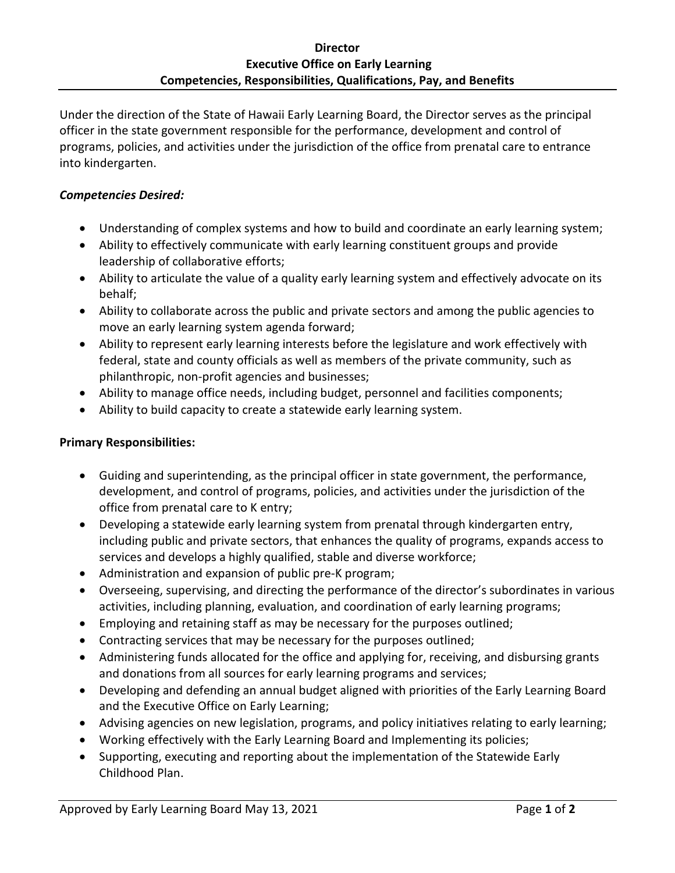Under the direction of the State of Hawaii Early Learning Board, the Director serves as the principal officer in the state government responsible for the performance, development and control of programs, policies, and activities under the jurisdiction of the office from prenatal care to entrance into kindergarten.

## *Competencies Desired:*

- Understanding of complex systems and how to build and coordinate an early learning system;
- Ability to effectively communicate with early learning constituent groups and provide leadership of collaborative efforts;
- Ability to articulate the value of a quality early learning system and effectively advocate on its behalf;
- Ability to collaborate across the public and private sectors and among the public agencies to move an early learning system agenda forward;
- Ability to represent early learning interests before the legislature and work effectively with federal, state and county officials as well as members of the private community, such as philanthropic, non-profit agencies and businesses;
- Ability to manage office needs, including budget, personnel and facilities components;
- Ability to build capacity to create a statewide early learning system.

# **Primary Responsibilities:**

- Guiding and superintending, as the principal officer in state government, the performance, development, and control of programs, policies, and activities under the jurisdiction of the office from prenatal care to K entry;
- Developing a statewide early learning system from prenatal through kindergarten entry, including public and private sectors, that enhances the quality of programs, expands access to services and develops a highly qualified, stable and diverse workforce;
- Administration and expansion of public pre-K program;
- Overseeing, supervising, and directing the performance of the director's subordinates in various activities, including planning, evaluation, and coordination of early learning programs;
- Employing and retaining staff as may be necessary for the purposes outlined;
- Contracting services that may be necessary for the purposes outlined;
- Administering funds allocated for the office and applying for, receiving, and disbursing grants and donations from all sources for early learning programs and services;
- Developing and defending an annual budget aligned with priorities of the Early Learning Board and the Executive Office on Early Learning;
- Advising agencies on new legislation, programs, and policy initiatives relating to early learning;
- Working effectively with the Early Learning Board and Implementing its policies;
- Supporting, executing and reporting about the implementation of the Statewide Early Childhood Plan.